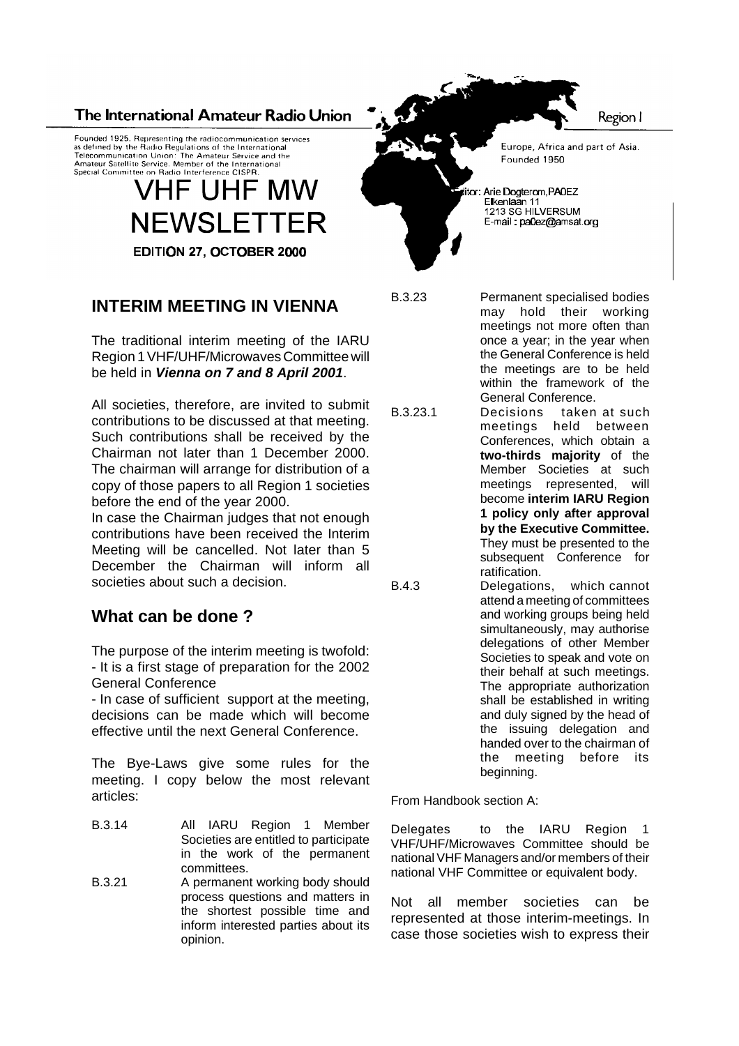#### The International Amateur Radio Union

Founded 1925. Representing the radiocommunication services<br>as defined by the Radio Regulations of the International<br>Telecommunication Union: The Amateur Service and the<br>Amateur Satellite Service. Member of the Internationa Special Committee on Radio Interference CISPR

# **VHF UHF MW NEWSLETTER** EDITION 27, OCTOBER 2000



The traditional interim meeting of the IARU Region 1 VHF/UHF/Microwaves Committee will be held in *Vienna on 7 and 8 April 2001*.

All societies, therefore, are invited to submit contributions to be discussed at that meeting. Such contributions shall be received by the Chairman not later than 1 December 2000. The chairman will arrange for distribution of a copy of those papers to all Region 1 societies before the end of the year 2000.

In case the Chairman judges that not enough contributions have been received the Interim Meeting will be cancelled. Not later than 5 December the Chairman will inform all societies about such a decision.

# **What can be done ?**

The purpose of the interim meeting is twofold: - It is a first stage of preparation for the 2002 General Conference

- In case of sufficient support at the meeting, decisions can be made which will become effective until the next General Conference.

The Bye-Laws give some rules for the meeting. I copy below the most relevant articles:

- B.3.14 All IARU Region 1 Member Societies are entitled to participate in the work of the permanent committees.
- B.3.21 A permanent working body should process questions and matters in the shortest possible time and inform interested parties about its opinion.

Europe, Africa and part of Asia. Founded 1950

or: Arie Dogterom, PA0EZ Eikenlaan 11<br>Eikenlaan 11<br>1213 SG HILVERSUM E-mail: pa0ez@amsat.org

B.3.23 Permanent specialised bodies may hold their working meetings not more often than once a year; in the year when the General Conference is held the meetings are to be held within the framework of the General Conference.

B.3.23.1 Decisions taken at such meetings held between Conferences, which obtain a **two-thirds majority** of the Member Societies at such meetings represented, will become **interim IARU Region 1 policy only after approval by the Executive Committee.** They must be presented to the subsequent Conference for ratification. B.4.3 Delegations, which cannot

attend a meeting of committees and working groups being held simultaneously, may authorise delegations of other Member Societies to speak and vote on their behalf at such meetings. The appropriate authorization shall be established in writing and duly signed by the head of the issuing delegation and handed over to the chairman of the meeting before its beginning.

From Handbook section A:

Delegates to the IARU Region 1 VHF/UHF/Microwaves Committee should be nationalVHF Managers and/or members of their national VHF Committee or equivalent body.

Not all member societies can be represented at those interim-meetings. In case those societies wish to express their